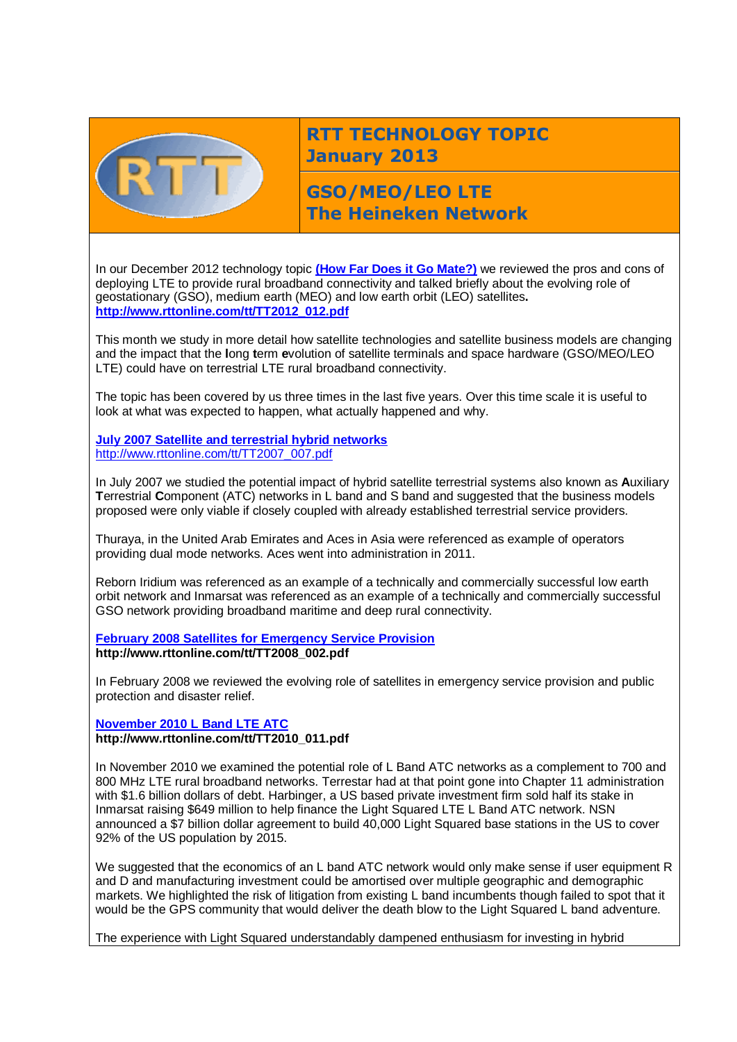

# **RTT TECHNOLOGY TOPIC January 2013**

**GSO/MEO/LEO LTE The Heineken Network**

In our December 2012 technology topic **[\(How Far Does](http://www.rttonline.com/tt/TT2012_012.pdf) it Go Mate?)** we reviewed the pros and cons of deploying LTE to provide rural broadband connectivity and talked briefly about the evolving role of geostationary (GSO), medium earth (MEO) and low earth orbit (LEO) satellites**. [http://www.rttonline.com/tt/TT2012\\_012.pdf](http://www.rttonline.com/tt/TT2012_012.pdf)**

This month we study in more detail how satellite technologies and satellite business models are changing and the impact that the **l**ong **t**erm **e**volution of satellite terminals and space hardware (GSO/MEO/LEO LTE) could have on terrestrial LTE rural broadband connectivity.

The topic has been covered by us three times in the last five years. Over this time scale it is useful to look at what was expected to happen, what actually happened and why.

#### **[July 2007 Satellite and terrestrial hybrid networks](http://www.rttonline.com/tt/TT2007_007.pdf)** [http://www.rttonline.com/tt/TT2007\\_007.pdf](http://www.rttonline.com/tt/TT2007_007.pdf)

In July 2007 we studied the potential impact of hybrid satellite terrestrial systems also known as **A**uxiliary **T**errestrial **C**omponent (ATC) networks in L band and S band and suggested that the business models proposed were only viable if closely coupled with already established terrestrial service providers.

Thuraya, in the United Arab Emirates and Aces in Asia were referenced as example of operators providing dual mode networks. Aces went into administration in 2011.

Reborn Iridium was referenced as an example of a technically and commercially successful low earth orbit network and Inmarsat was referenced as an example of a technically and commercially successful GSO network providing broadband maritime and deep rural connectivity.

#### **[February 2008 Satellites for Emergency Service Provision](http://www.rttonline.com/tt/TT2008_002.pdf) http://www.rttonline.com/tt/TT2008\_002.pdf**

In February 2008 we reviewed the evolving role of satellites in emergency service provision and public protection and disaster relief.

### **[November 2010 L Band LTE ATC](http://www.rttonline.com/tt/TT2010_011.pdf) http://www.rttonline.com/tt/TT2010\_011.pdf**

In November 2010 we examined the potential role of L Band ATC networks as a complement to 700 and 800 MHz LTE rural broadband networks. Terrestar had at that point gone into Chapter 11 administration with \$1.6 billion dollars of debt. Harbinger, a US based private investment firm sold half its stake in Inmarsat raising \$649 million to help finance the Light Squared LTE L Band ATC network. NSN announced a \$7 billion dollar agreement to build 40,000 Light Squared base stations in the US to cover 92% of the US population by 2015.

We suggested that the economics of an L band ATC network would only make sense if user equipment R and D and manufacturing investment could be amortised over multiple geographic and demographic markets. We highlighted the risk of litigation from existing L band incumbents though failed to spot that it would be the GPS community that would deliver the death blow to the Light Squared L band adventure.

The experience with Light Squared understandably dampened enthusiasm for investing in hybrid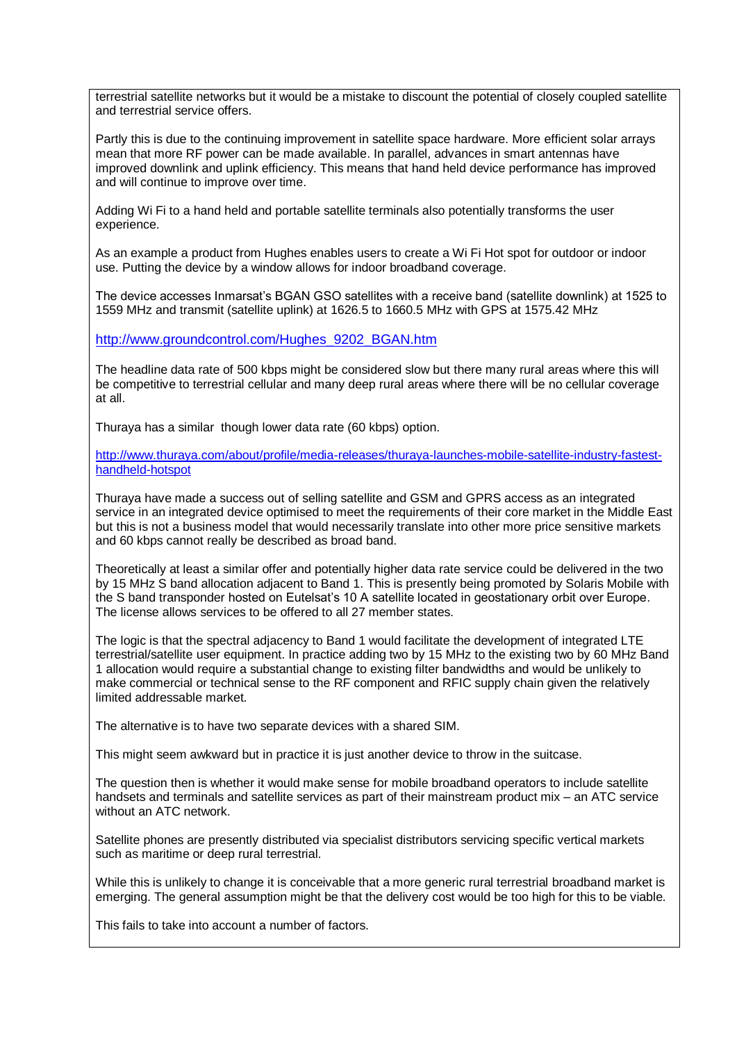terrestrial satellite networks but it would be a mistake to discount the potential of closely coupled satellite and terrestrial service offers.

Partly this is due to the continuing improvement in satellite space hardware. More efficient solar arrays mean that more RF power can be made available. In parallel, advances in smart antennas have improved downlink and uplink efficiency. This means that hand held device performance has improved and will continue to improve over time.

Adding Wi Fi to a hand held and portable satellite terminals also potentially transforms the user experience.

As an example a product from Hughes enables users to create a Wi Fi Hot spot for outdoor or indoor use. Putting the device by a window allows for indoor broadband coverage.

The device accesses Inmarsat's BGAN GSO satellites with a receive band (satellite downlink) at 1525 to 1559 MHz and transmit (satellite uplink) at 1626.5 to 1660.5 MHz with GPS at 1575.42 MHz

[http://www.groundcontrol.com/Hughes\\_9202\\_BGAN.htm](http://www.groundcontrol.com/Hughes_9202_BGAN.htm)

The headline data rate of 500 kbps might be considered slow but there many rural areas where this will be competitive to terrestrial cellular and many deep rural areas where there will be no cellular coverage at all.

Thuraya has a similar though lower data rate (60 kbps) option.

[http://www.thuraya.com/about/profile/media-releases/thuraya-launches-mobile-satellite-industry-fastest](http://www.thuraya.com/about/profile/media-releases/thuraya-launches-mobile-satellite-industry-fastest-handheld-hotspot)[handheld-hotspot](http://www.thuraya.com/about/profile/media-releases/thuraya-launches-mobile-satellite-industry-fastest-handheld-hotspot)

Thuraya have made a success out of selling satellite and GSM and GPRS access as an integrated service in an integrated device optimised to meet the requirements of their core market in the Middle East but this is not a business model that would necessarily translate into other more price sensitive markets and 60 kbps cannot really be described as broad band.

Theoretically at least a similar offer and potentially higher data rate service could be delivered in the two by 15 MHz S band allocation adjacent to Band 1. This is presently being promoted by Solaris Mobile with the S band transponder hosted on Eutelsat's 10 A satellite located in geostationary orbit over Europe. The license allows services to be offered to all 27 member states.

The logic is that the spectral adjacency to Band 1 would facilitate the development of integrated LTE terrestrial/satellite user equipment. In practice adding two by 15 MHz to the existing two by 60 MHz Band 1 allocation would require a substantial change to existing filter bandwidths and would be unlikely to make commercial or technical sense to the RF component and RFIC supply chain given the relatively limited addressable market.

The alternative is to have two separate devices with a shared SIM.

This might seem awkward but in practice it is just another device to throw in the suitcase.

The question then is whether it would make sense for mobile broadband operators to include satellite handsets and terminals and satellite services as part of their mainstream product mix – an ATC service without an ATC network.

Satellite phones are presently distributed via specialist distributors servicing specific vertical markets such as maritime or deep rural terrestrial.

While this is unlikely to change it is conceivable that a more generic rural terrestrial broadband market is emerging. The general assumption might be that the delivery cost would be too high for this to be viable.

This fails to take into account a number of factors.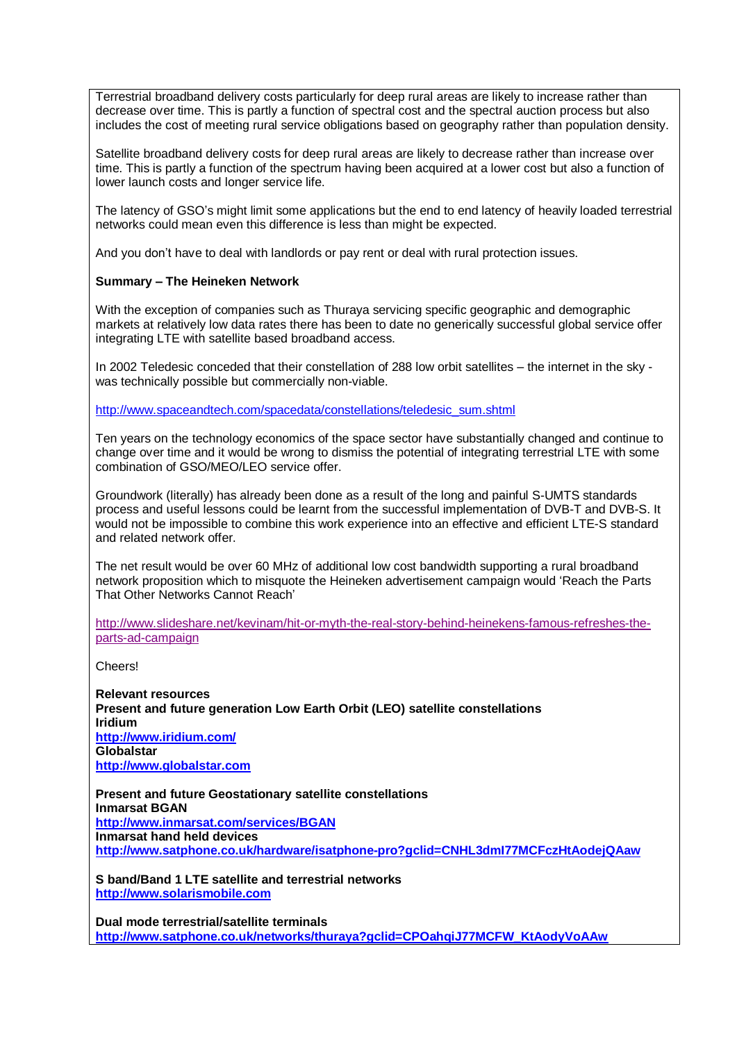Terrestrial broadband delivery costs particularly for deep rural areas are likely to increase rather than decrease over time. This is partly a function of spectral cost and the spectral auction process but also includes the cost of meeting rural service obligations based on geography rather than population density.

Satellite broadband delivery costs for deep rural areas are likely to decrease rather than increase over time. This is partly a function of the spectrum having been acquired at a lower cost but also a function of lower launch costs and longer service life.

The latency of GSO's might limit some applications but the end to end latency of heavily loaded terrestrial networks could mean even this difference is less than might be expected.

And you don't have to deal with landlords or pay rent or deal with rural protection issues.

### **Summary – The Heineken Network**

With the exception of companies such as Thuraya servicing specific geographic and demographic markets at relatively low data rates there has been to date no generically successful global service offer integrating LTE with satellite based broadband access.

In 2002 Teledesic conceded that their constellation of 288 low orbit satellites – the internet in the sky was technically possible but commercially non-viable.

[http://www.spaceandtech.com/spacedata/constellations/teledesic\\_sum.shtml](http://www.spaceandtech.com/spacedata/constellations/teledesic_sum.shtml)

Ten years on the technology economics of the space sector have substantially changed and continue to change over time and it would be wrong to dismiss the potential of integrating terrestrial LTE with some combination of GSO/MEO/LEO service offer.

Groundwork (literally) has already been done as a result of the long and painful S-UMTS standards process and useful lessons could be learnt from the successful implementation of DVB-T and DVB-S. It would not be impossible to combine this work experience into an effective and efficient LTE-S standard and related network offer.

The net result would be over 60 MHz of additional low cost bandwidth supporting a rural broadband network proposition which to misquote the Heineken advertisement campaign would 'Reach the Parts That Other Networks Cannot Reach'

[http://www.slideshare.net/kevinam/hit-or-myth-the-real-story-behind-heinekens-famous-refreshes-the](http://www.slideshare.net/kevinam/hit-or-myth-the-real-story-behind-heinekens-famous-refreshes-the-parts-ad-campaign)[parts-ad-campaign](http://www.slideshare.net/kevinam/hit-or-myth-the-real-story-behind-heinekens-famous-refreshes-the-parts-ad-campaign)

Cheers!

**Relevant resources Present and future generation Low Earth Orbit (LEO) satellite constellations Iridium <http://www.iridium.com/> Globalstar [http://www.globalstar.com](http://www.globalstar.com/)**

**Present and future Geostationary satellite constellations Inmarsat BGAN <http://www.inmarsat.com/services/BGAN> Inmarsat hand held devices <http://www.satphone.co.uk/hardware/isatphone-pro?gclid=CNHL3dmI77MCFczHtAodejQAaw>**

**S band/Band 1 LTE satellite and terrestrial networks [http://www.solarismobile.com](http://www.solarismobile.com/)**

**Dual mode terrestrial/satellite terminals [http://www.satphone.co.uk/networks/thuraya?gclid=CPOahqiJ77MCFW\\_KtAodyVoAAw](http://www.satphone.co.uk/networks/thuraya?gclid=CPOahqiJ77MCFW_KtAodyVoAAw)**